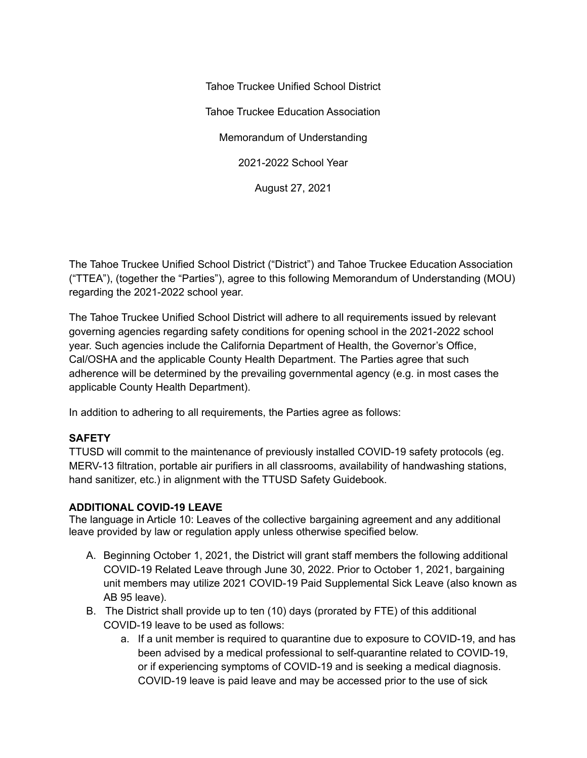Tahoe Truckee Unified School District Tahoe Truckee Education Association Memorandum of Understanding 2021-2022 School Year August 27, 2021

The Tahoe Truckee Unified School District ("District") and Tahoe Truckee Education Association ("TTEA"), (together the "Parties"), agree to this following Memorandum of Understanding (MOU) regarding the 2021-2022 school year.

The Tahoe Truckee Unified School District will adhere to all requirements issued by relevant governing agencies regarding safety conditions for opening school in the 2021-2022 school year. Such agencies include the California Department of Health, the Governor's Office, Cal/OSHA and the applicable County Health Department. The Parties agree that such adherence will be determined by the prevailing governmental agency (e.g. in most cases the applicable County Health Department).

In addition to adhering to all requirements, the Parties agree as follows:

### **SAFETY**

TTUSD will commit to the maintenance of previously installed COVID-19 safety protocols (eg. MERV-13 filtration, portable air purifiers in all classrooms, availability of handwashing stations, hand sanitizer, etc.) in alignment with the TTUSD Safety Guidebook.

### **ADDITIONAL COVID-19 LEAVE**

The language in Article 10: Leaves of the collective bargaining agreement and any additional leave provided by law or regulation apply unless otherwise specified below.

- A. Beginning October 1, 2021, the District will grant staff members the following additional COVID-19 Related Leave through June 30, 2022. Prior to October 1, 2021, bargaining unit members may utilize 2021 COVID-19 Paid Supplemental Sick Leave (also known as AB 95 leave).
- B. The District shall provide up to ten (10) days (prorated by FTE) of this additional COVID-19 leave to be used as follows:
	- a. If a unit member is required to quarantine due to exposure to COVID-19, and has been advised by a medical professional to self-quarantine related to COVID-19, or if experiencing symptoms of COVID-19 and is seeking a medical diagnosis. COVID-19 leave is paid leave and may be accessed prior to the use of sick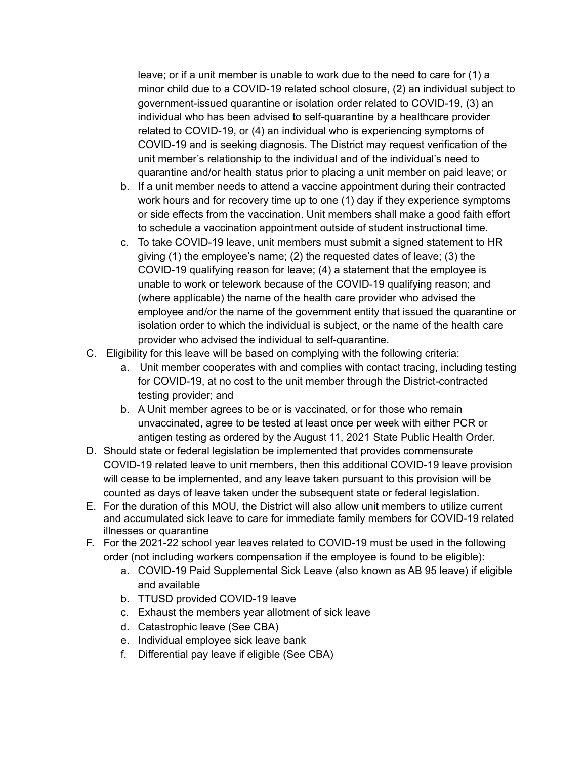leave; or if a unit member is unable to work due to the need to care for (1) a minor child due to a COVID-19 related school closure, (2) an individual subject to government-issued quarantine or isolation order related to COVID-19, (3) an individual who has been advised to self-quarantine by a healthcare provider related to COVID-19, or (4) an individual who is experiencing symptoms of COVID-19 and is seeking diagnosis. The District may request verification of the unit member's relationship to the individual and of the individual's need to quarantine and/or health status prior to placing a unit member on paid leave; or

- b. If a unit member needs to attend a vaccine appointment during their contracted work hours and for recovery time up to one (1) day if they experience symptoms or side effects from the vaccination. Unit members shall make a good faith effort to schedule a vaccination appointment outside of student instructional time.
- c. To take COVID-19 leave, unit members must submit a signed statement to HR giving (1) the employee's name; (2) the requested dates of leave; (3) the COVID-19 qualifying reason for leave; (4) a statement that the employee is unable to work or telework because of the COVID-19 qualifying reason; and (where applicable) the name of the health care provider who advised the employee and/or the name of the government entity that issued the quarantine or isolation order to which the individual is subject, or the name of the health care provider who advised the individual to self-quarantine.
- C. Eligibility for this leave will be based on complying with the following criteria:
	- a. Unit member cooperates with and complies with contact tracing, including testing for COVID-19, at no cost to the unit member through the District-contracted testing provider; and
	- b. A Unit member agrees to be or is vaccinated, or for those who remain unvaccinated, agree to be tested at least once per week with either PCR or antigen testing as ordered by the August 11, 2021 State Public Health Order.
- D. Should state or federal legislation be implemented that provides commensurate COVID-19 related leave to unit members, then this additional COVID-19 leave provision will cease to be implemented, and any leave taken pursuant to this provision will be counted as days of leave taken under the subsequent state or federal legislation.
- E. For the duration of this MOU, the District will also allow unit members to utilize current and accumulated sick leave to care for immediate family members for COVID-19 related illnesses or quarantine
- F. For the 2021-22 school year leaves related to COVID-19 must be used in the following order (not including workers compensation if the employee is found to be eligible):
	- a. COVID-19 Paid Supplemental Sick Leave (also known as AB 95 leave) if eligible and available
	- b. TTUSD provided COVID-19 leave
	- c. Exhaust the members year allotment of sick leave
	- d. Catastrophic leave (See CBA)
	- e. Individual employee sick leave bank
	- f. Differential pay leave if eligible (See CBA)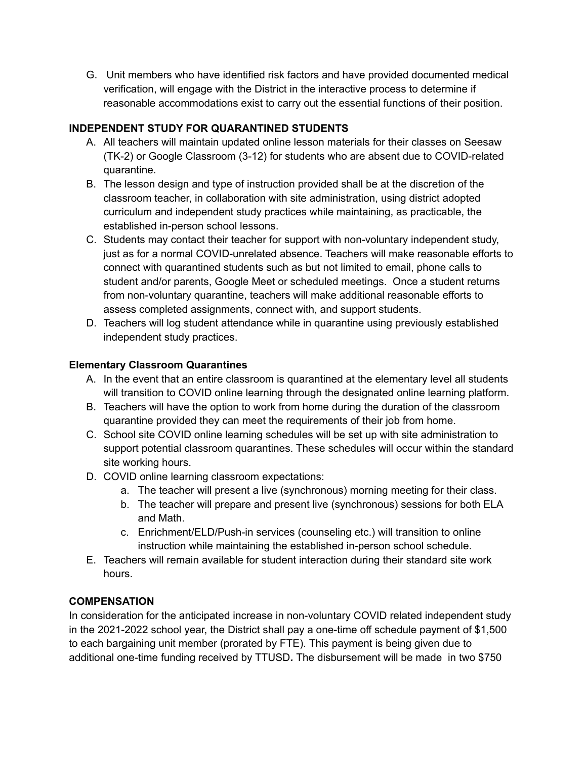G. Unit members who have identified risk factors and have provided documented medical verification, will engage with the District in the interactive process to determine if reasonable accommodations exist to carry out the essential functions of their position.

# **INDEPENDENT STUDY FOR QUARANTINED STUDENTS**

- A. All teachers will maintain updated online lesson materials for their classes on Seesaw (TK-2) or Google Classroom (3-12) for students who are absent due to COVID-related quarantine.
- B. The lesson design and type of instruction provided shall be at the discretion of the classroom teacher, in collaboration with site administration, using district adopted curriculum and independent study practices while maintaining, as practicable, the established in-person school lessons.
- C. Students may contact their teacher for support with non-voluntary independent study, just as for a normal COVID-unrelated absence. Teachers will make reasonable efforts to connect with quarantined students such as but not limited to email, phone calls to student and/or parents, Google Meet or scheduled meetings. Once a student returns from non-voluntary quarantine, teachers will make additional reasonable efforts to assess completed assignments, connect with, and support students.
- D. Teachers will log student attendance while in quarantine using previously established independent study practices.

## **Elementary Classroom Quarantines**

- A. In the event that an entire classroom is quarantined at the elementary level all students will transition to COVID online learning through the designated online learning platform.
- B. Teachers will have the option to work from home during the duration of the classroom quarantine provided they can meet the requirements of their job from home.
- C. School site COVID online learning schedules will be set up with site administration to support potential classroom quarantines. These schedules will occur within the standard site working hours.
- D. COVID online learning classroom expectations:
	- a. The teacher will present a live (synchronous) morning meeting for their class.
	- b. The teacher will prepare and present live (synchronous) sessions for both ELA and Math.
	- c. Enrichment/ELD/Push-in services (counseling etc.) will transition to online instruction while maintaining the established in-person school schedule.
- E. Teachers will remain available for student interaction during their standard site work hours.

## **COMPENSATION**

In consideration for the anticipated increase in non-voluntary COVID related independent study in the 2021-2022 school year, the District shall pay a one-time off schedule payment of \$1,500 to each bargaining unit member (prorated by FTE). This payment is being given due to additional one-time funding received by TTUSD*.* The disbursement will be made in two \$750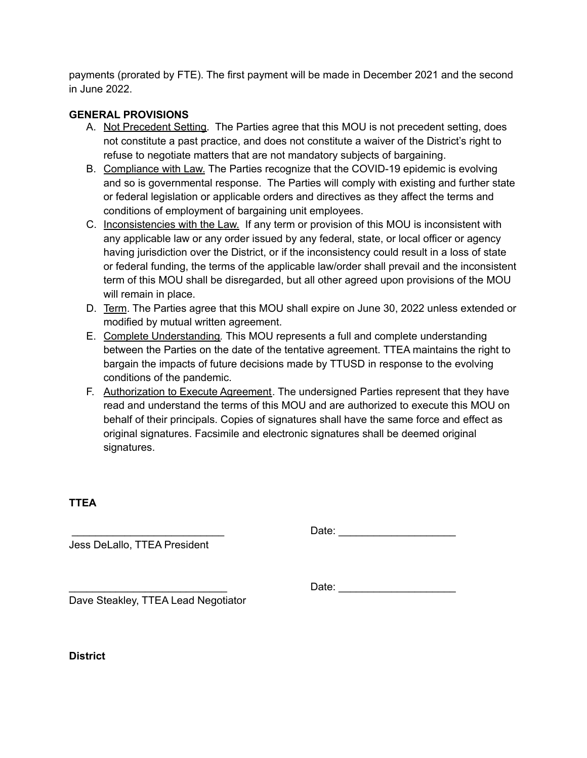payments (prorated by FTE). The first payment will be made in December 2021 and the second in June 2022.

### **GENERAL PROVISIONS**

- A. Not Precedent Setting. The Parties agree that this MOU is not precedent setting, does not constitute a past practice, and does not constitute a waiver of the District's right to refuse to negotiate matters that are not mandatory subjects of bargaining.
- B. Compliance with Law. The Parties recognize that the COVID-19 epidemic is evolving and so is governmental response. The Parties will comply with existing and further state or federal legislation or applicable orders and directives as they affect the terms and conditions of employment of bargaining unit employees.
- C. Inconsistencies with the Law. If any term or provision of this MOU is inconsistent with any applicable law or any order issued by any federal, state, or local officer or agency having jurisdiction over the District, or if the inconsistency could result in a loss of state or federal funding, the terms of the applicable law/order shall prevail and the inconsistent term of this MOU shall be disregarded, but all other agreed upon provisions of the MOU will remain in place.
- D. Term. The Parties agree that this MOU shall expire on June 30, 2022 unless extended or modified by mutual written agreement.
- E. Complete Understanding*.* This MOU represents a full and complete understanding between the Parties on the date of the tentative agreement. TTEA maintains the right to bargain the impacts of future decisions made by TTUSD in response to the evolving conditions of the pandemic.
- F. Authorization to Execute Agreement. The undersigned Parties represent that they have read and understand the terms of this MOU and are authorized to execute this MOU on behalf of their principals. Copies of signatures shall have the same force and effect as original signatures. Facsimile and electronic signatures shall be deemed original signatures.

## **TTEA**

\_\_\_\_\_\_\_\_\_\_\_\_\_\_\_\_\_\_\_\_\_\_\_\_\_\_ Date: \_\_\_\_\_\_\_\_\_\_\_\_\_\_\_\_\_\_\_\_

Jess DeLallo, TTEA President

\_\_\_\_\_\_\_\_\_\_\_\_\_\_\_\_\_\_\_\_\_\_\_\_\_\_\_ Date: \_\_\_\_\_\_\_\_\_\_\_\_\_\_\_\_\_\_\_\_

Dave Steakley, TTEA Lead Negotiator

**District**